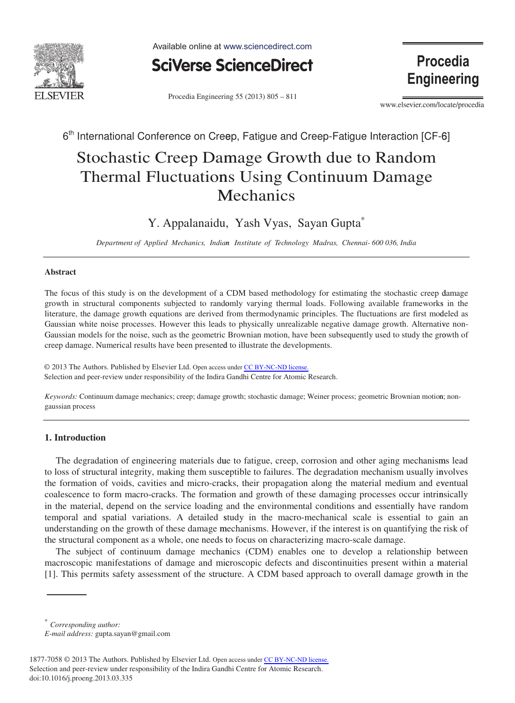

Available online at www.sciencedirect.com



Procedia Engineering 55 (2013) 805 – 811

**Procedia Engineering** 

www.elsevier.com/locate/procedia

6<sup>th</sup> International Conference on Creep, Fatigue and Creep-Fatigue Interaction [CF-6]

# Stochastic Creep Damage Growth due to Random Thermal Fluctuations Using Continuum Damage M Mechanics

# Y. Appalanaidu , Yash Vyas, Sayan Gupta<sup>∗</sup>

*Department of Applied Mechanics, Indian n Institute of Technology Madras, Chennai- 600 036, India* 

#### **Abstract**

The focus of this study is on the development of a CDM based methodology for estimating the stochastic creep damage growth in structural components subjected to randomly varying thermal loads. Following available frameworks in the literature, the damage growth equations are derived from thermodynamic principles. The fluctuations are first modeled as Gaussian white noise processes. However this leads to physically unrealizable negative damage growth. Alternative non-Gaussian models for the noise, such as the geometric Brownian motion, have been subsequently used to study the growth of creep damage. Numerical results have been presented d to illustrate the developments.

© 2013 The Authors. Published by Elsevier Ltd. Open access under [CC BY-NC-ND license.](http://creativecommons.org/licenses/by-nc-nd/3.0/) Selection and peer-review under responsibility of the Indira Gandhi Centre for Atomic Research.

Keywords: Continuum damage mechanics; creep; damage growth; stochastic damage; Weiner process; geometric Brownian motion; nongaussian process

## **1. Introduction**

The degradation of engineering materials due to fatigue, creep, corrosion and other aging mechanisms lead to loss of structural integrity, making them susceptible to failures. The degradation mechanism usually involves the formation of voids, cavities and micro-cracks, their propagation along the material medium and eventual coalescence to form macro-cracks. The formation and growth of these damaging processes occur intrinsically in the material, depend on the service loading and the environmental conditions and essentially have r andom temporal and spatial variations. A detailed study in the macro-mechanical scale is essential to gain an understanding on the growth of these damage mechanisms. However, if the interest is on quantifying the risk of the structural component as a whole, one needs to focus on characterizing macro-scale damage.

The subject of continuum damage mechanics (CDM) enables one to develop a relationship between macroscopic manifestations of damage and microscopic defects and discontinuities present within a material [1]. This permits safety assessment of the structure. A CDM based approach to overall damage growth in the

<sup>∗</sup> *Corresponding author:* 

*E-mail address:* gupta.sayan@gmail.com

<sup>1877-7058 © 2013</sup> The Authors. Published by Elsevier Ltd. Open access under [CC BY-NC-ND license.](http://creativecommons.org/licenses/by-nc-nd/3.0/) Selection and peer-review under responsibility of the Indira Gandhi Centre for Atomic Research. doi: 10.1016/j.proeng.2013.03.335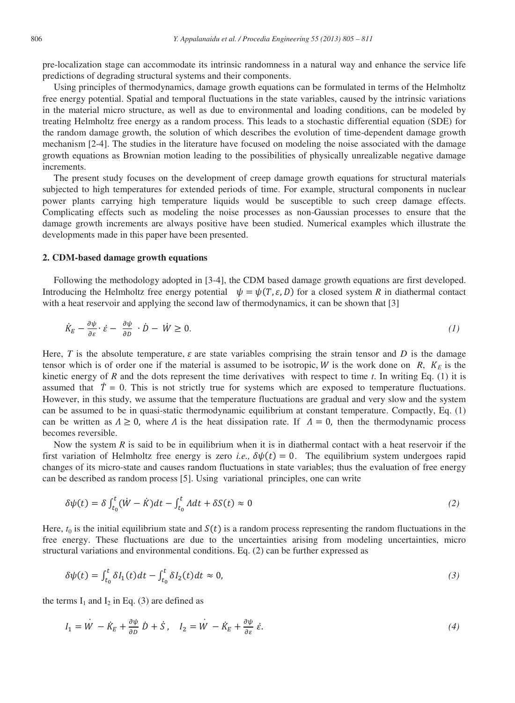pre-localization stage can accommodate its intrinsic randomness in a natural way and enhance the service life predictions of degrading structural systems and their components.

Using principles of thermodynamics, damage growth equations can be formulated in terms of the Helmholtz free energy potential. Spatial and temporal fluctuations in the state variables, caused by the intrinsic variations in the material micro structure, as well as due to environmental and loading conditions, can be modeled by treating Helmholtz free energy as a random process. This leads to a stochastic differential equation (SDE) for the random damage growth, the solution of which describes the evolution of time-dependent damage growth mechanism [2-4]. The studies in the literature have focused on modeling the noise associated with the damage growth equations as Brownian motion leading to the possibilities of physically unrealizable negative damage increments.

The present study focuses on the development of creep damage growth equations for structural materials subjected to high temperatures for extended periods of time. For example, structural components in nuclear power plants carrying high temperature liquids would be susceptible to such creep damage effects. Complicating effects such as modeling the noise processes as non-Gaussian processes to ensure that the damage growth increments are always positive have been studied. Numerical examples which illustrate the developments made in this paper have been presented.

#### **2. CDM-based damage growth equations**

Following the methodology adopted in [3-4], the CDM based damage growth equations are first developed. Introducing the Helmholtz free energy potential  $\psi = \psi(T, \varepsilon, D)$  for a closed system *R* in diathermal contact with a heat reservoir and applying the second law of thermodynamics, it can be shown that [3]

$$
\dot{K}_E - \frac{\partial \psi}{\partial \varepsilon} \cdot \dot{\varepsilon} - \frac{\partial \psi}{\partial D} \cdot \dot{D} - \dot{W} \ge 0. \tag{1}
$$

Here, *T* is the absolute temperature,  $\varepsilon$  are state variables comprising the strain tensor and *D* is the damage tensor which is of order one if the material is assumed to be isotropic, W is the work done on  $R$ ,  $K_E$  is the kinetic energy of *R* and the dots represent the time derivatives with respect to time *t*. In writing Eq. (1) it is assumed that  $\dot{T} = 0$ . This is not strictly true for systems which are exposed to temperature fluctuations. However, in this study, we assume that the temperature fluctuations are gradual and very slow and the system can be assumed to be in quasi-static thermodynamic equilibrium at constant temperature. Compactly, Eq. (1) can be written as  $\Lambda \ge 0$ , where  $\Lambda$  is the heat dissipation rate. If  $\Lambda = 0$ , then the thermodynamic process becomes reversible.

Now the system  $R$  is said to be in equilibrium when it is in diathermal contact with a heat reservoir if the first variation of Helmholtz free energy is zero *i.e.*,  $\delta \psi(t) = 0$ . The equilibrium system undergoes rapid changes of its micro-state and causes random fluctuations in state variables; thus the evaluation of free energy can be described as random process [5]. Using variational principles, one can write

$$
\delta\psi(t) = \delta \int_{t_0}^t (\dot{W} - \dot{K})dt - \int_{t_0}^t \Lambda dt + \delta S(t) \approx 0 \tag{2}
$$

Here,  $t_0$  is the initial equilibrium state and  $S(t)$  is a random process representing the random fluctuations in the free energy. These fluctuations are due to the uncertainties arising from modeling uncertainties, micro structural variations and environmental conditions. Eq. (2) can be further expressed as

$$
\delta\psi(t) = \int_{t_0}^t \delta I_1(t)dt - \int_{t_0}^t \delta I_2(t)dt \approx 0,
$$
\n(3)

the terms  $I_1$  and  $I_2$  in Eq. (3) are defined as

$$
I_1 = \dot{W} - \dot{K}_E + \frac{\partial \psi}{\partial D} \dot{D} + \dot{S}, \quad I_2 = \dot{W} - \dot{K}_E + \frac{\partial \psi}{\partial \varepsilon} \dot{\varepsilon}.
$$
 (4)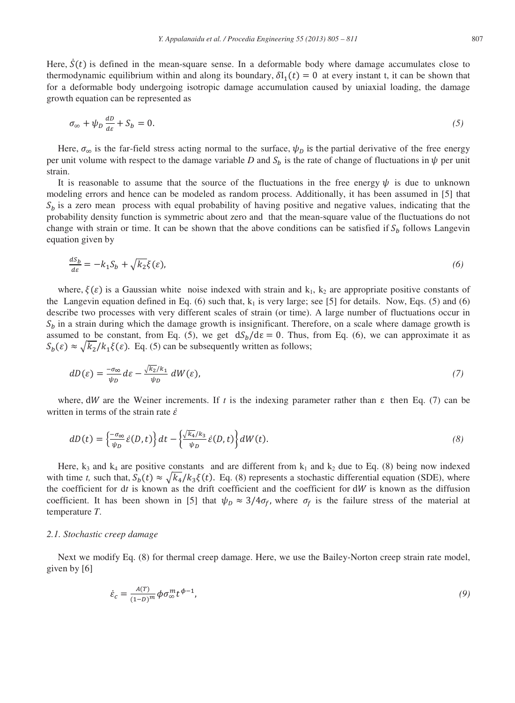Here,  $\dot{S}(t)$  is defined in the mean-square sense. In a deformable body where damage accumulates close to thermodynamic equilibrium within and along its boundary,  $\delta I_1(t) = 0$  at every instant t, it can be shown that for a deformable body undergoing isotropic damage accumulation caused by uniaxial loading, the damage growth equation can be represented as

$$
\sigma_{\infty} + \psi_D \frac{dD}{d\varepsilon} + S_b = 0. \tag{5}
$$

Here,  $\sigma_{\infty}$  is the far-field stress acting normal to the surface,  $\psi_D$  is the partial derivative of the free energy per unit volume with respect to the damage variable *D* and  $S_h$  is the rate of change of fluctuations in  $\psi$  per unit strain.

It is reasonable to assume that the source of the fluctuations in the free energy  $\psi$  is due to unknown modeling errors and hence can be modeled as random process. Additionally, it has been assumed in [5] that  $S_h$  is a zero mean process with equal probability of having positive and negative values, indicating that the probability density function is symmetric about zero and that the mean-square value of the fluctuations do not change with strain or time. It can be shown that the above conditions can be satisfied if  $S_h$  follows Langevin equation given by

$$
\frac{dS_b}{d\varepsilon} = -k_1 S_b + \sqrt{k_2} \xi(\varepsilon),\tag{6}
$$

where,  $\xi(\varepsilon)$  is a Gaussian white noise indexed with strain and k<sub>1</sub>, k<sub>2</sub> are appropriate positive constants of the Langevin equation defined in Eq. (6) such that,  $k_1$  is very large; see [5] for details. Now, Eqs. (5) and (6) describe two processes with very different scales of strain (or time). A large number of fluctuations occur in  $S_b$  in a strain during which the damage growth is insignificant. Therefore, on a scale where damage growth is assumed to be constant, from Eq. (5), we get  $dS<sub>b</sub>/d\epsilon = 0$ . Thus, from Eq. (6), we can approximate it as  $S_h(\varepsilon) \approx \sqrt{k_2/k_1 \xi(\varepsilon)}$ . Eq. (5) can be subsequently written as follows;

$$
dD(\varepsilon) = \frac{-\sigma_{\infty}}{\psi_D} d\varepsilon - \frac{\sqrt{k_2}/k_1}{\psi_D} dW(\varepsilon), \tag{7}
$$

where,  $dW$  are the Weiner increments. If t is the indexing parameter rather than  $\varepsilon$  then Eq. (7) can be written in terms of the strain rate  $\dot{\varepsilon}$ 

$$
dD(t) = \left\{ \frac{-\sigma_{\infty}}{\psi_D} \dot{\varepsilon}(D, t) \right\} dt - \left\{ \frac{\sqrt{k_4}/k_3}{\psi_D} \dot{\varepsilon}(D, t) \right\} dW(t).
$$
\n(8)

Here,  $k_3$  and  $k_4$  are positive constants and are different from  $k_1$  and  $k_2$  due to Eq. (8) being now indexed with time *t*, such that,  $S_b(t) \approx \sqrt{k_4/k_3\xi(t)}$ . Eq. (8) represents a stochastic differential equation (SDE), where the coefficient for dt is known as the drift coefficient and the coefficient for  $dW$  is known as the diffusion coefficient. It has been shown in [5] that  $\psi_D \approx 3/4\sigma_f$ , where  $\sigma_f$  is the failure stress of the material at temperature *T*.

#### *2.1. Stochastic creep damage*

Next we modify Eq. (8) for thermal creep damage. Here, we use the Bailey-Norton creep strain rate model, given by [6]

$$
\dot{\varepsilon}_c = \frac{A(T)}{(1-D)^m} \phi \sigma_\infty^m t^{\phi-1},\tag{9}
$$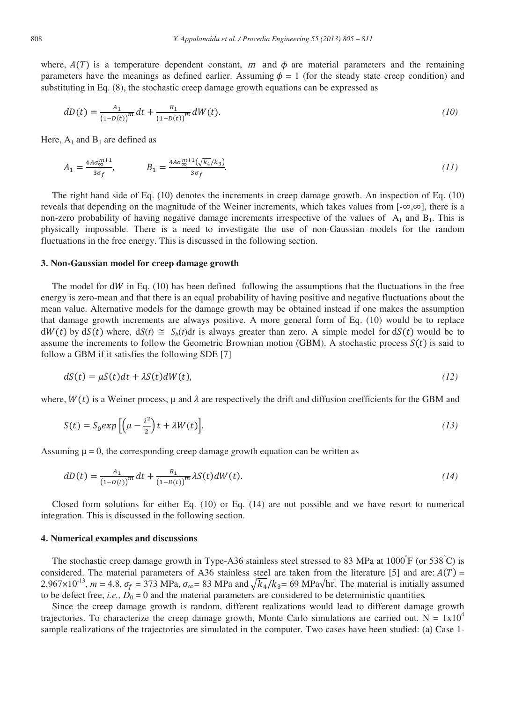where,  $A(T)$  is a temperature dependent constant, m and  $\phi$  are material parameters and the remaining parameters have the meanings as defined earlier. Assuming  $\phi = 1$  (for the steady state creep condition) and substituting in Eq. (8), the stochastic creep damage growth equations can be expressed as

$$
dD(t) = \frac{A_1}{(1 - D(t))^{m}} dt + \frac{B_1}{(1 - D(t))^{m}} dW(t).
$$
\n(10)

Here,  $A_1$  and  $B_1$  are defined as

$$
A_1 = \frac{4A\sigma_{\infty}^{m+1}}{3\sigma_f}, \qquad B_1 = \frac{4A\sigma_{\infty}^{m+1}(\sqrt{k_4}/k_3)}{3\sigma_f}.
$$
 (11)

The right hand side of Eq. (10) denotes the increments in creep damage growth. An inspection of Eq. (10) reveals that depending on the magnitude of the Weiner increments, which takes values from  $[-\infty,\infty]$ , there is a non-zero probability of having negative damage increments irrespective of the values of  $A_1$  and  $B_1$ . This is physically impossible. There is a need to investigate the use of non-Gaussian models for the random fluctuations in the free energy. This is discussed in the following section.

#### **3. Non-Gaussian model for creep damage growth**

The model for  $dW$  in Eq. (10) has been defined following the assumptions that the fluctuations in the free energy is zero-mean and that there is an equal probability of having positive and negative fluctuations about the mean value. Alternative models for the damage growth may be obtained instead if one makes the assumption that damage growth increments are always positive. A more general form of Eq. (10) would be to replace  $dW(t)$  by  $dS(t)$  where,  $dS(t) \cong S_b(t)dt$  is always greater than zero. A simple model for  $dS(t)$  would be to assume the increments to follow the Geometric Brownian motion (GBM). A stochastic process  $S(t)$  is said to follow a GBM if it satisfies the following SDE [7]

$$
dS(t) = \mu S(t)dt + \lambda S(t)dW(t),
$$
\n(12)

where,  $W(t)$  is a Weiner process,  $\mu$  and  $\lambda$  are respectively the drift and diffusion coefficients for the GBM and

$$
S(t) = S_0 exp\left[\left(\mu - \frac{\lambda^2}{2}\right)t + \lambda W(t)\right].
$$
\n(13)

Assuming  $\mu = 0$ , the corresponding creep damage growth equation can be written as

$$
dD(t) = \frac{A_1}{(1 - D(t))^{m}} dt + \frac{B_1}{(1 - D(t))^{m}} \lambda S(t) dW(t).
$$
\n(14)

Closed form solutions for either Eq. (10) or Eq. (14) are not possible and we have resort to numerical integration. This is discussed in the following section.

## **4. Numerical examples and discussions**

The stochastic creep damage growth in Type-A36 stainless steel stressed to 83 MPa at  $1000\text{ }^{\circ}\text{F}$  (or  $538\text{ }^{\circ}\text{C}$ ) is considered. The material parameters of A36 stainless steel are taken from the literature [5] and are:  $A(T)$  = 2.967×10<sup>-13</sup>,  $m = 4.8$ ,  $\sigma_f = 373$  MPa,  $\sigma_\infty = 83$  MPa and  $\sqrt{k_4}/k_3 = 69$  MPa $\sqrt{hr}$ . The material is initially assumed to be defect free, *i.e.*,  $D_0 = 0$  and the material parameters are considered to be deterministic quantities.

Since the creep damage growth is random, different realizations would lead to different damage growth trajectories. To characterize the creep damage growth, Monte Carlo simulations are carried out.  $N = 1x10^4$ sample realizations of the trajectories are simulated in the computer. Two cases have been studied: (a) Case 1-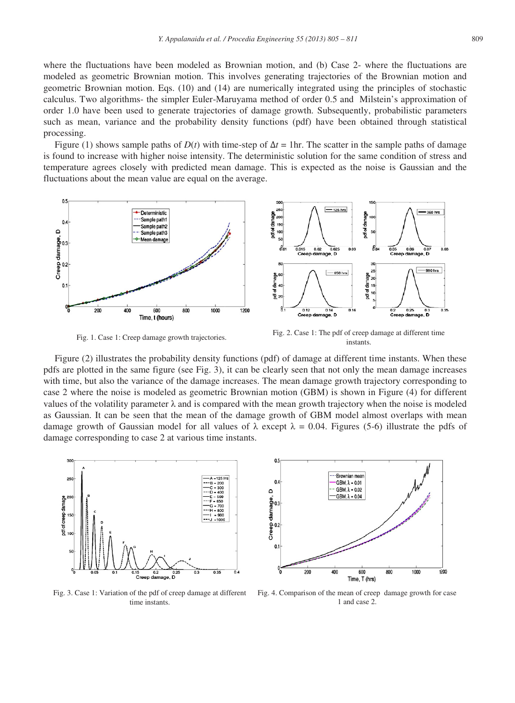where the fluctuations have been modeled as Brownian motion, and (b) Case 2- where the fluctuations are modeled as geometric Brownian motion. This involves generating trajectories of the Brownian motion and geometric Brownian motion. Eqs. (10) and (14) are numerically integrated using the principles of stochastic calculus. Two algorithms- the simpler Euler-Maruyama method of order 0.5 and Milstein's approximation of order 1.0 have been used to generate trajectories of damage growth. Subsequently, probabilistic parameters such as mean, variance and the probability density functions (pdf) have been obtained through statistical processing.

Figure (1) shows sample paths of  $D(t)$  with time-step of  $\Delta t = 1$ hr. The scatter in the sample paths of damage is found to increase with higher noise intensity. The deterministic solution for the same condition of stress and temperature agrees closely with predicted mean damage. This is expected as the noise is Gaussian and the fluctuations about the mean value are equal on the average.



Fig. 1. Case 1: Creep damage growth trajectories

Fig. 2. Case 1: The pdf of creep damage at different time instants.

Figure (2) illustrates the probability density functions (pdf) of damage at different time instants. When these pdfs are plotted in the same figure (see Fig. 3), it can be clearly seen that not only the mean damage increases with time, but also the variance of the damage increases. The mean damage growth trajectory corresponding to case 2 where the noise is modeled as geometric Brownian motion (GBM) is shown in Figure (4) for different values of the volatility parameter  $\lambda$  and is compared with the mean growth trajectory when the noise is modeled as Gaussian. It can be seen that the mean of the damage growth of GBM model almost overlaps with mean damage growth of Gaussian model for all values of  $\lambda$  except  $\lambda = 0.04$ . Figures (5-6) illustrate the pdfs of damage corresponding to case 2 at various time instants.



Fig. 3. Case 1: Variation of the pdf of creep damage at different time instants.



ifferent Fig. 4. Comparison of the mean of creep damage growth for case 1 and case 2.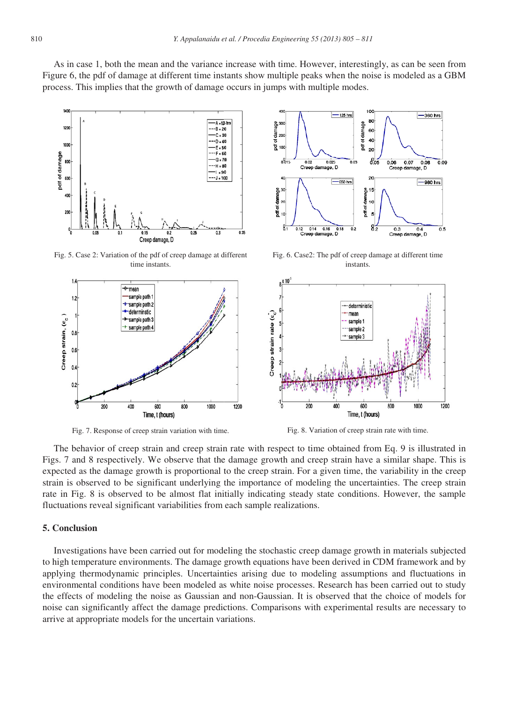As in case 1, both the mean and the variance increase with time. However, interestingly, as can be seen from Figure 6, the pdf of damage at different time instants show multiple peaks when the noise is modeled as a GBM process. This implies that the growth of damage occurs in jumps with multiple modes.



Fig. 5. Case 2: Variation of the pdf of creep damage at different time instants.



Fig. 6. Case2: The pdf of creep damage at different time instants.



Fig. 7. Response of creep strain variation with tim

Fig. 8. Variation of creep strain rate with time.

The behavior of creep strain and creep strain rate with respect to time obtained from Eq. 9 is illustra Figs. 7 and 8 respectively. We observe that the damage growth and creep strain have a similar shape. This is expected as the damage growth is proportional to the creep strain. For a given time, the variability in the creep strain is observed to be significant underlying the importance of modeling the uncertainties. The creep strain rate in Fig. 8 is observed to be almost flat initially indicating steady state conditions. However, the sample fluctuations reveal significant variabilities from each sample realizations.

## **5. Conclusion**

 $1/$ 

 $1.2$ 

 $0.8$ 

 $0.6$  $0.4$  $0.2$ 

 $200$ 

Creep strain,  $(\varepsilon_c)$ 

Investigations have been carried out for modeling the stochastic creep damage growth in materials subjected to high temperature environments. The damage growth equations have been derived in CDM framework and by applying thermodynamic principles. Uncertainties arising due to modeling assumptions and fluctuations in environmental conditions have been modeled as white noise processes. Research has been carried out to study the effects of modeling the noise as Gaussian and non-Gaussian. It is observed that the choice of models for noise can significantly affect the damage predictions. Comparisons with experimental results are necessary to arrive at appropriate models for the uncertain variations.